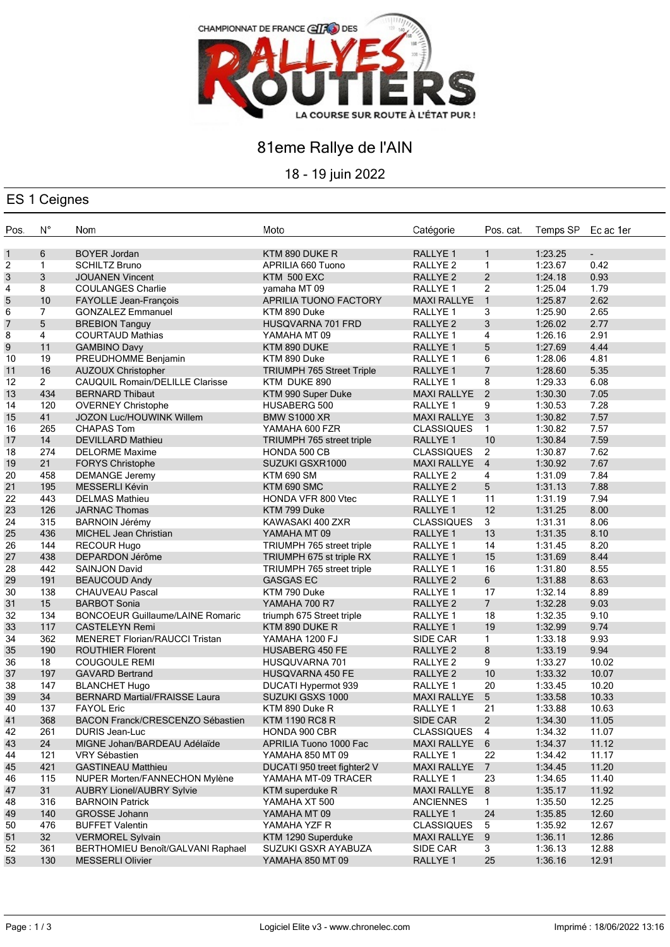

## 81eme Rallye de l'AIN

18 - 19 juin 2022

## ES 1 Ceignes

| Pos.           | $N^{\circ}$    | Nom                                     | Moto                             | Catégorie                       | Pos. cat.            | Temps SP | Ec ac 1er                |
|----------------|----------------|-----------------------------------------|----------------------------------|---------------------------------|----------------------|----------|--------------------------|
| $\mathbf{1}$   | 6              | <b>BOYER Jordan</b>                     | KTM 890 DUKE R                   | RALLYE 1                        | $\mathbf{1}$         | 1:23.25  | $\overline{\phantom{a}}$ |
| $\overline{c}$ | $\mathbf{1}$   | <b>SCHILTZ Bruno</b>                    | APRILIA 660 Tuono                | RALLYE <sub>2</sub>             | $\mathbf{1}$         | 1:23.67  | 0.42                     |
| 3              | 3              | <b>JOUANEN Vincent</b>                  | <b>KTM 500 EXC</b>               | RALLYE 2                        | 2                    | 1:24.18  | 0.93                     |
| 4              | 8              | <b>COULANGES Charlie</b>                | yamaha MT 09                     | RALLYE <sub>1</sub>             | $\overline{2}$       | 1:25.04  | 1.79                     |
| 5              | 10             | FAYOLLE Jean-François                   | <b>APRILIA TUONO FACTORY</b>     | <b>MAXI RALLYE</b>              | $\mathbf{1}$         | 1:25.87  | 2.62                     |
| 6              | $\overline{7}$ | <b>GONZALEZ Emmanuel</b>                | KTM 890 Duke                     | RALLYE 1                        | 3                    | 1:25.90  | 2.65                     |
| $\overline{7}$ | 5              | <b>BREBION Tanguy</b>                   | HUSQVARNA 701 FRD                | RALLYE <sub>2</sub>             | 3                    | 1:26.02  | 2.77                     |
| 8              | $\overline{4}$ | <b>COURTAUD Mathias</b>                 | YAMAHA MT 09                     | RALLYE <sub>1</sub>             | $\overline{4}$       | 1:26.16  | 2.91                     |
| 9              | 11             | <b>GAMBINO Davy</b>                     | KTM 890 DUKE                     | RALLYE 1                        | 5                    | 1:27.69  | 4.44                     |
| 10             | 19             | PREUDHOMME Benjamin                     | KTM 890 Duke                     | RALLYE 1                        | 6                    | 1:28.06  | 4.81                     |
| 11             | 16             | <b>AUZOUX Christopher</b>               | <b>TRIUMPH 765 Street Triple</b> | RALLYE 1                        | $\overline{7}$       | 1:28.60  | 5.35                     |
| 12             | $\overline{2}$ | <b>CAUQUIL Romain/DELILLE Clarisse</b>  | KTM DUKE 890                     | RALLYE <sub>1</sub>             | 8                    | 1:29.33  | 6.08                     |
| 13             | 434            | <b>BERNARD Thibaut</b>                  | KTM 990 Super Duke               | <b>MAXI RALLYE</b>              | $\overline{2}$       | 1:30.30  | 7.05                     |
| 14             | 120            | <b>OVERNEY Christophe</b>               | HUSABERG 500                     | RALLYE <sub>1</sub>             | 9                    | 1:30.53  | 7.28                     |
| 15             | 41             | JOZON Luc/HOUWINK Willem                | <b>BMW S1000 XR</b>              | MAXI RALLYE 3                   |                      | 1:30.82  | 7.57                     |
| 16             | 265            | <b>CHAPAS Tom</b>                       | YAMAHA 600 FZR                   | <b>CLASSIQUES</b>               | $\mathbf{1}$         | 1:30.82  | 7.57                     |
| 17             | 14             | <b>DEVILLARD Mathieu</b>                | TRIUMPH 765 street triple        | RALLYE 1                        | 10                   | 1:30.84  | 7.59                     |
| 18             | 274            | <b>DELORME Maxime</b>                   | HONDA 500 CB                     | <b>CLASSIQUES</b>               | $\overline{2}$       | 1:30.87  | 7.62                     |
| 19             | 21             | <b>FORYS Christophe</b>                 | SUZUKI GSXR1000                  | MAXI RALLYE 4                   |                      | 1:30.92  | 7.67                     |
| 20             | 458            | <b>DEMANGE Jeremy</b>                   | <b>KTM 690 SM</b>                | RALLYE <sub>2</sub>             | 4                    | 1:31.09  | 7.84                     |
| 21             | 195            | MESSERLI Kévin                          | KTM 690 SMC                      | RALLYE <sub>2</sub>             | 5                    | 1:31.13  | 7.88                     |
| 22             | 443            | <b>DELMAS Mathieu</b>                   | HONDA VFR 800 Vtec               | RALLYE 1                        | 11                   | 1:31.19  | 7.94                     |
| 23             | 126            | <b>JARNAC Thomas</b>                    | KTM 799 Duke                     | RALLYE <sub>1</sub>             | 12                   | 1:31.25  | 8.00                     |
| 24             | 315            | <b>BARNOIN Jérémy</b>                   | KAWASAKI 400 ZXR                 | <b>CLASSIQUES</b>               | 3                    | 1:31.31  | 8.06                     |
| 25             | 436            | <b>MICHEL Jean Christian</b>            |                                  |                                 | 13                   | 1:31.35  | 8.10                     |
| 26             | 144            |                                         | YAMAHA MT 09                     | RALLYE <sub>1</sub><br>RALLYE 1 | 14                   | 1:31.45  | 8.20                     |
|                | 438            | <b>RECOUR Hugo</b>                      | TRIUMPH 765 street triple        | RALLYE <sub>1</sub>             | 15                   | 1:31.69  | 8.44                     |
| 27             |                | DEPARDON Jérôme                         | TRIUMPH 675 st triple RX         |                                 |                      |          |                          |
| 28             | 442            | <b>SAINJON David</b>                    | TRIUMPH 765 street triple        | RALLYE <sub>1</sub>             | 16                   | 1:31.80  | 8.55                     |
| 29             | 191            | <b>BEAUCOUD Andy</b>                    | <b>GASGAS EC</b>                 | RALLYE <sub>2</sub>             | 6                    | 1:31.88  | 8.63                     |
| 30             | 138            | <b>CHAUVEAU Pascal</b>                  | KTM 790 Duke                     | RALLYE <sub>1</sub>             | 17<br>7 <sup>7</sup> | 1:32.14  | 8.89                     |
| 31             | 15             | <b>BARBOT Sonia</b>                     | YAMAHA 700 R7                    | RALLYE <sub>2</sub>             |                      | 1:32.28  | 9.03                     |
| 32             | 134            | <b>BONCOEUR Guillaume/LAINE Romaric</b> | triumph 675 Street triple        | RALLYE <sub>1</sub>             | 18                   | 1:32.35  | 9.10                     |
| 33             | 117            | <b>CASTELEYN Remi</b>                   | KTM 890 DUKE R                   | RALLYE 1                        | 19                   | 1:32.99  | 9.74                     |
| 34             | 362            | MENERET Florian/RAUCCI Tristan          | YAMAHA 1200 FJ                   | SIDE CAR                        | 1                    | 1:33.18  | 9.93                     |
| 35             | 190            | <b>ROUTHIER Florent</b>                 | <b>HUSABERG 450 FE</b>           | RALLYE <sub>2</sub>             | $\bf 8$              | 1:33.19  | 9.94                     |
| 36             | 18             | <b>COUGOULE REMI</b>                    | HUSQUVARNA 701                   | RALLYE <sub>2</sub>             | 9                    | 1:33.27  | 10.02                    |
| 37             | 197            | <b>GAVARD Bertrand</b>                  | HUSQVARNA 450 FE                 | RALLYE <sub>2</sub>             | 10                   | 1:33.32  | 10.07                    |
| 38             | 147            | <b>BLANCHET Hugo</b>                    | DUCATI Hypermot 939              | RALLYE 1                        | 20                   | 1:33.45  | 10.20                    |
| 39             | 34             | <b>BERNARD Martial/FRAISSE Laura</b>    | SUZUKI GSXS 1000                 | <b>MAXI RALLYE</b>              | $\overline{5}$       | 1:33.58  | 10.33                    |
| 40             | 137            | <b>FAYOL Eric</b>                       | KTM 890 Duke R                   | RALLYE 1                        | 21                   | 1:33.88  | 10.63                    |
| 41             | 368            | BACON Franck/CRESCENZO Sébastien        | <b>KTM 1190 RC8 R</b>            | SIDE CAR                        | $\overline{a}$       | 1:34.30  | 11.05                    |
| 42             | 261            | DURIS Jean-Luc                          | HONDA 900 CBR                    | <b>CLASSIQUES</b>               | -4                   | 1:34.32  | 11.07                    |
| 43             | 24             | MIGNE Johan/BARDEAU Adélaïde            | APRILIA Tuono 1000 Fac           | <b>MAXI RALLYE</b>              | 6                    | 1:34.37  | 11.12                    |
| 44             | 121            | VRY Sébastien                           | YAMAHA 850 MT 09                 | RALLYE 1                        | 22                   | 1:34.42  | 11.17                    |
| 45             | 421            | <b>GASTINEAU Matthieu</b>               | DUCATI 950 treet fighter2 V      | <b>MAXI RALLYE</b>              | $\overline{7}$       | 1:34.45  | 11.20                    |
| 46             | 115            | NUPER Morten/FANNECHON Mylène           | YAMAHA MT-09 TRACER              | RALLYE 1                        | 23                   | 1:34.65  | 11.40                    |
| 47             | 31             | <b>AUBRY Lionel/AUBRY Sylvie</b>        | KTM superduke R                  | <b>MAXI RALLYE</b>              | 8                    | 1:35.17  | 11.92                    |
| 48             | 316            | <b>BARNOIN Patrick</b>                  | YAMAHA XT 500                    | <b>ANCIENNES</b>                | $\mathbf{1}$         | 1:35.50  | 12.25                    |
| 49             | 140            | GROSSE Johann                           | YAMAHA MT 09                     | RALLYE 1                        | 24                   | 1:35.85  | 12.60                    |
| 50             | 476            | <b>BUFFET Valentin</b>                  | YAMAHA YZF R                     | <b>CLASSIQUES</b>               | 5                    | 1:35.92  | 12.67                    |
| 51             | 32             | <b>VERMOREL Sylvain</b>                 | KTM 1290 Superduke               | <b>MAXI RALLYE</b>              | 9                    | 1:36.11  | 12.86                    |
| 52             | 361            | BERTHOMIEU Benoît/GALVANI Raphael       | SUZUKI GSXR AYABUZA              | SIDE CAR                        | 3                    | 1:36.13  | 12.88                    |
| 53             | 130            | <b>MESSERLI Olivier</b>                 | YAMAHA 850 MT 09                 | RALLYE 1                        | 25                   | 1:36.16  | 12.91                    |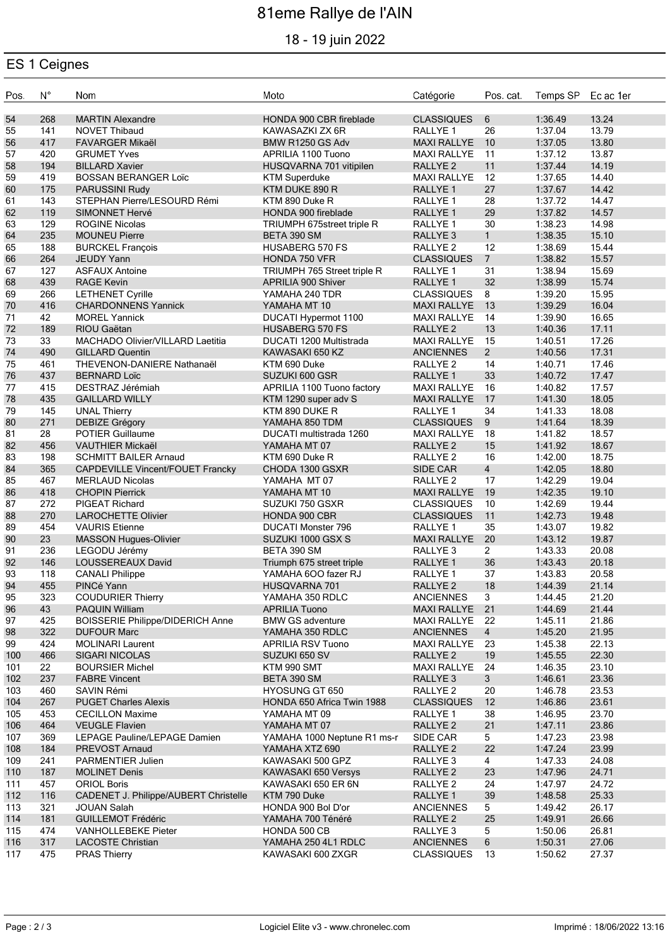# 81eme Rallye de l'AIN

## 18 - 19 juin 2022

#### ES 1 Ceignes

| Pos.       | $\mathsf{N}^\circ$ | Nom                                              | Moto                                      | Catégorie                                 | Pos. cat.      | Temps SP Ec ac 1er |                |
|------------|--------------------|--------------------------------------------------|-------------------------------------------|-------------------------------------------|----------------|--------------------|----------------|
| 54         | 268                | <b>MARTIN Alexandre</b>                          | HONDA 900 CBR fireblade                   | <b>CLASSIQUES</b>                         | 6              | 1:36.49            | 13.24          |
| 55         | 141                | <b>NOVET Thibaud</b>                             | KAWASAZKI ZX 6R                           | RALLYE <sub>1</sub>                       | 26             | 1:37.04            | 13.79          |
| 56         | 417                | <b>FAVARGER Mikaël</b>                           | BMW R1250 GS Adv                          | <b>MAXI RALLYE</b>                        | 10             | 1:37.05            | 13.80          |
| 57         | 420                | <b>GRUMET Yves</b>                               | APRILIA 1100 Tuono                        | <b>MAXI RALLYE</b>                        | 11             | 1:37.12            | 13.87          |
| 58         | 194                | <b>BILLARD Xavier</b>                            | HUSQVARNA 701 vitipilen                   | <b>RALLYE 2</b>                           | 11             | 1:37.44            | 14.19          |
| 59         | 419                | <b>BOSSAN BERANGER Loïc</b>                      | <b>KTM Superduke</b>                      | <b>MAXI RALLYE</b>                        | 12             | 1:37.65            | 14.40          |
| 60         | 175                | <b>PARUSSINI Rudy</b>                            | KTM DUKE 890 R                            | RALLYE 1                                  | 27             | 1:37.67            | 14.42          |
| 61         | 143                | STEPHAN Pierre/LESOURD Rémi                      | KTM 890 Duke R                            | RALLYE <sub>1</sub>                       | 28             | 1:37.72            | 14.47          |
| 62         | 119                | <b>SIMONNET Hervé</b>                            | HONDA 900 fireblade                       | RALLYE <sub>1</sub>                       | 29             | 1:37.82            | 14.57          |
| 63         | 129                | <b>ROGINE Nicolas</b>                            | TRIUMPH 675street triple R                | RALLYE <sub>1</sub>                       | 30             | 1:38.23            | 14.98          |
| 64         | 235                | <b>MOUNEU Pierre</b>                             | BETA 390 SM                               | RALLYE <sub>3</sub>                       | $\mathbf{1}$   | 1:38.35            | 15.10          |
| 65         | 188                | <b>BURCKEL François</b>                          | <b>HUSABERG 570 FS</b>                    | RALLYE <sub>2</sub>                       | 12             | 1:38.69            | 15.44          |
| 66         | 264                | <b>JEUDY Yann</b>                                | HONDA 750 VFR                             | <b>CLASSIQUES</b>                         | 7 <sup>7</sup> | 1:38.82            | 15.57          |
| 67         | 127                | <b>ASFAUX Antoine</b>                            | TRIUMPH 765 Street triple R               | RALLYE 1                                  | 31             | 1:38.94            | 15.69          |
| 68         | 439                | <b>RAGE Kevin</b>                                | APRILIA 900 Shiver                        | RALLYE <sub>1</sub>                       | 32             | 1:38.99            | 15.74          |
| 69         | 266                | <b>LETHENET Cyrille</b>                          | YAMAHA 240 TDR                            | <b>CLASSIQUES</b>                         | 8              | 1:39.20            | 15.95          |
| 70         | 416                | <b>CHARDONNENS Yannick</b>                       | YAMAHA MT 10                              | <b>MAXI RALLYE</b>                        | 13             | 1:39.29            | 16.04          |
| 71         | 42                 | <b>MOREL Yannick</b>                             | DUCATI Hypermot 1100                      | <b>MAXI RALLYE</b>                        | 14             | 1:39.90            | 16.65          |
| $72\,$     | 189                | RIOU Gaëtan                                      | <b>HUSABERG 570 FS</b>                    | <b>RALLYE 2</b>                           | 13             | 1:40.36            | 17.11          |
| 73         | 33                 | MACHADO Olivier/VILLARD Laetitia                 | DUCATI 1200 Multistrada                   | <b>MAXI RALLYE</b>                        | 15             | 1:40.51            | 17.26          |
| 74         | 490                | <b>GILLARD Quentin</b>                           | KAWASAKI 650 KZ                           | <b>ANCIENNES</b>                          | $2^{\circ}$    | 1:40.56            | 17.31          |
| 75         | 461                | THEVENON-DANIERE Nathanaël                       | KTM 690 Duke                              | RALLYE <sub>2</sub>                       | 14             | 1:40.71            | 17.46          |
| 76         | 437                | <b>BERNARD Loïc</b>                              | SUZUKI 600 GSR                            | RALLYE <sub>1</sub>                       | 33             | 1:40.72            | 17.47          |
| 77         | 415                | DESTRAZ Jérémiah                                 | APRILIA 1100 Tuono factory                | <b>MAXI RALLYE</b>                        | 16             | 1:40.82            | 17.57          |
| 78         | 435                | <b>GAILLARD WILLY</b>                            | KTM 1290 super adv S                      | <b>MAXI RALLYE</b>                        | 17             | 1:41.30            | 18.05          |
| 79<br>80   | 145<br>271         | <b>UNAL Thierry</b>                              | KTM 890 DUKE R<br>YAMAHA 850 TDM          | RALLYE 1<br><b>CLASSIQUES</b>             | 34<br>9        | 1:41.33<br>1:41.64 | 18.08<br>18.39 |
| 81         | 28                 | <b>DEBIZE Grégory</b><br><b>POTIER Guillaume</b> |                                           |                                           | 18             | 1:41.82            | 18.57          |
| 82         | 456                | <b>VAUTHIER Mickaël</b>                          | DUCATI multistrada 1260<br>YAMAHA MT 07   | <b>MAXI RALLYE</b><br>RALLYE <sub>2</sub> | 15             | 1:41.92            | 18.67          |
| 83         | 198                | <b>SCHMITT BAILER Arnaud</b>                     | KTM 690 Duke R                            | RALLYE <sub>2</sub>                       | 16             | 1:42.00            | 18.75          |
| 84         | 365                | CAPDEVILLE Vincent/FOUET Francky                 | CHODA 1300 GSXR                           | <b>SIDE CAR</b>                           | $\overline{4}$ | 1:42.05            | 18.80          |
| 85         | 467                | <b>MERLAUD Nicolas</b>                           | YAMAHA MT 07                              | RALLYE <sub>2</sub>                       | 17             | 1:42.29            | 19.04          |
| 86         | 418                | <b>CHOPIN Pierrick</b>                           | YAMAHA MT 10                              | <b>MAXI RALLYE</b>                        | 19             | 1:42.35            | 19.10          |
| 87         | 272                | <b>PIGEAT Richard</b>                            | SUZUKI 750 GSXR                           | <b>CLASSIQUES</b>                         | 10             | 1:42.69            | 19.44          |
| 88         | 270                | <b>LAROCHETTE Olivier</b>                        | HONDA 900 CBR                             | <b>CLASSIQUES</b>                         | 11             | 1:42.73            | 19.48          |
| 89         | 454                | <b>VAURIS</b> Etienne                            | <b>DUCATI Monster 796</b>                 | RALLYE 1                                  | 35             | 1:43.07            | 19.82          |
| 90         | 23                 | MASSON Hugues-Olivier                            | SUZUKI 1000 GSX S                         | <b>MAXI RALLYE</b>                        | 20             | 1:43.12            | 19.87          |
| 91         | 236                | LEGODU Jérémy                                    | BETA 390 SM                               | RALLYE 3                                  | $\overline{2}$ | 1:43.33            | 20.08          |
| 92         | 146                | LOUSSEREAUX David                                | Triumph 675 street triple                 | RALLYE <sub>1</sub>                       | 36             | 1:43.43            | 20.18          |
| 93         | 118                | <b>CANALI Philippe</b>                           | YAMAHA 6OO fazer RJ                       | RALLYE 1                                  | 37             | 1:43.83            | 20.58          |
| 94         | 455                | PINCé Yann                                       | <b>HUSQVARNA 701</b>                      | <b>RALLYE 2</b>                           | 18             | 1:44.39            | 21.14          |
| 95         | 323                | <b>COUDURIER Thierry</b>                         | YAMAHA 350 RDLC                           | <b>ANCIENNES</b>                          | 3              | 1:44.45            | 21.20          |
| 96         | 43                 | <b>PAQUIN William</b>                            | <b>APRILIA Tuono</b>                      | <b>MAXI RALLYE</b>                        | 21             | 1:44.69            | 21.44          |
| 97         | 425                | <b>BOISSERIE Philippe/DIDERICH Anne</b>          | <b>BMW GS adventure</b>                   | <b>MAXI RALLYE</b>                        | 22             | 1:45.11            | 21.86          |
| 98         | 322                | <b>DUFOUR Marc</b>                               | YAMAHA 350 RDLC                           | <b>ANCIENNES</b>                          | $\overline{4}$ | 1:45.20            | 21.95          |
| 99         | 424                | <b>MOLINARI Laurent</b>                          | <b>APRILIA RSV Tuono</b>                  | <b>MAXI RALLYE</b>                        | 23             | 1:45.38            | 22.13          |
| 100        | 466                | <b>SIGARI NICOLAS</b>                            | SUZUKI 650 SV                             | RALLYE <sub>2</sub>                       | 19             | 1:45.55            | 22.30          |
| 101        | 22                 | <b>BOURSIER Michel</b>                           | KTM 990 SMT                               | <b>MAXI RALLYE</b>                        | 24             | 1:46.35            | 23.10          |
| 102        | 237                | <b>FABRE Vincent</b>                             | BETA 390 SM                               | RALLYE <sub>3</sub>                       | $\mathbf{3}$   | 1:46.61            | 23.36          |
| 103        | 460                | SAVIN Rémi                                       | <b>HYOSUNG GT 650</b>                     | RALLYE 2                                  | 20             | 1:46.78            | 23.53          |
| 104        | 267                | <b>PUGET Charles Alexis</b>                      | HONDA 650 Africa Twin 1988                | <b>CLASSIQUES</b>                         | 12             | 1:46.86            | 23.61          |
| 105        | 453                | <b>CECILLON Maxime</b>                           | YAMAHA MT 09                              | RALLYE <sub>1</sub>                       | 38             | 1:46.95            | 23.70          |
| 106        | 464                | <b>VEUGLE Flavien</b>                            | YAMAHA MT 07                              | RALLYE <sub>2</sub>                       | 21             | 1:47.11            | 23.86          |
| 107        | 369                | LEPAGE Pauline/LEPAGE Damien                     | YAMAHA 1000 Neptune R1 ms-r               | SIDE CAR                                  | 5              | 1:47.23            | 23.98          |
| 108        | 184                | PREVOST Arnaud                                   | YAMAHA XTZ 690                            | RALLYE <sub>2</sub>                       | 22             | 1:47.24            | 23.99          |
| 109        | 241                | PARMENTIER Julien                                | KAWASAKI 500 GPZ                          | RALLYE <sub>3</sub>                       | $\overline{4}$ | 1:47.33            | 24.08<br>24.71 |
| 110        | 187<br>457         | <b>MOLINET Denis</b><br><b>ORIOL Boris</b>       | KAWASAKI 650 Versys<br>KAWASAKI 650 ER 6N | RALLYE <sub>2</sub>                       | 23             | 1:47.96<br>1:47.97 | 24.72          |
| 111<br>112 | 116                | CADENET J. Philippe/AUBERT Christelle            | KTM 790 Duke                              | RALLYE 2<br>RALLYE <sub>1</sub>           | 24<br>39       | 1:48.58            | 25.33          |
| 113        | 321                | <b>JOUAN Salah</b>                               | HONDA 900 Bol D'or                        | <b>ANCIENNES</b>                          | 5              | 1:49.42            | 26.17          |
| 114        | 181                | <b>GUILLEMOT Frédéric</b>                        | YAMAHA 700 Ténéré                         | RALLYE <sub>2</sub>                       | 25             | 1:49.91            | 26.66          |
| 115        | 474                | <b>VANHOLLEBEKE Pieter</b>                       | HONDA 500 CB                              | RALLYE <sub>3</sub>                       | 5              | 1:50.06            | 26.81          |
| 116        | 317                | <b>LACOSTE Christian</b>                         | YAMAHA 250 4L1 RDLC                       | <b>ANCIENNES</b>                          | 6              | 1:50.31            | 27.06          |
| 117        | 475                | <b>PRAS Thierry</b>                              | KAWASAKI 600 ZXGR                         | <b>CLASSIQUES</b>                         | 13             | 1:50.62            | 27.37          |
|            |                    |                                                  |                                           |                                           |                |                    |                |